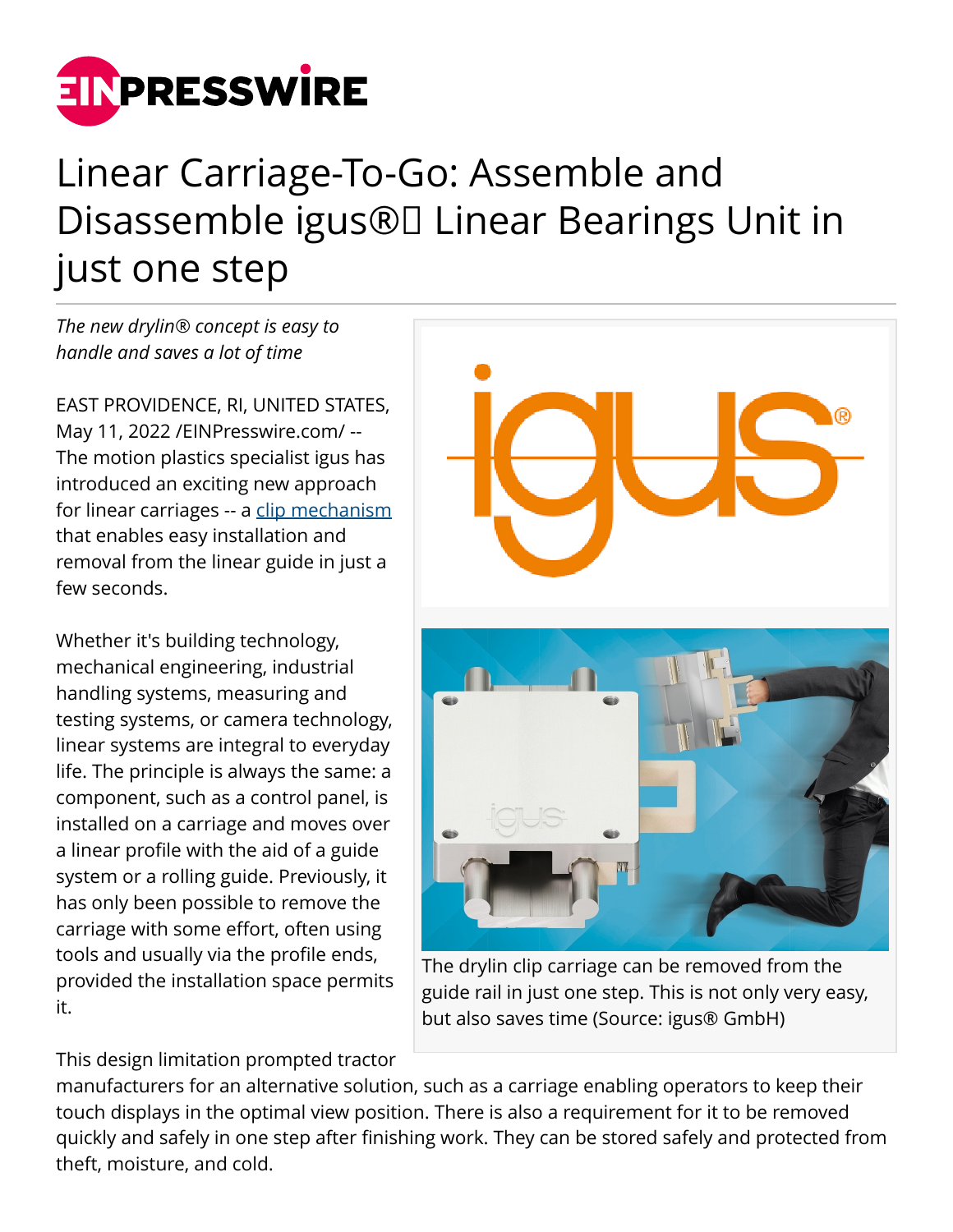

## Linear Carriage-To-Go: Assemble and Disassemble igus®□ Linear Bearings Unit in just one step

*The new drylin® concept is easy to handle and saves a lot of time*

EAST PROVIDENCE, RI, UNITED STATES, May 11, 2022 [/EINPresswire.com](http://www.einpresswire.com)/ -- The motion plastics specialist igus has introduced an exciting new approach for linear carriages -- a [clip mechanism](https://www.igus.com/info/n21-clip-study) that enables easy installation and removal from the linear guide in just a few seconds.

Whether it's building technology, mechanical engineering, industrial handling systems, measuring and testing systems, or camera technology, linear systems are integral to everyday life. The principle is always the same: a component, such as a control panel, is installed on a carriage and moves over a linear profile with the aid of a guide system or a rolling guide. Previously, it has only been possible to remove the carriage with some effort, often using tools and usually via the profile ends, provided the installation space permits it.

This design limitation prompted tractor



The drylin clip carriage can be removed from the guide rail in just one step. This is not only very easy, but also saves time (Source: igus® GmbH)

manufacturers for an alternative solution, such as a carriage enabling operators to keep their touch displays in the optimal view position. There is also a requirement for it to be removed quickly and safely in one step after finishing work. They can be stored safely and protected from theft, moisture, and cold.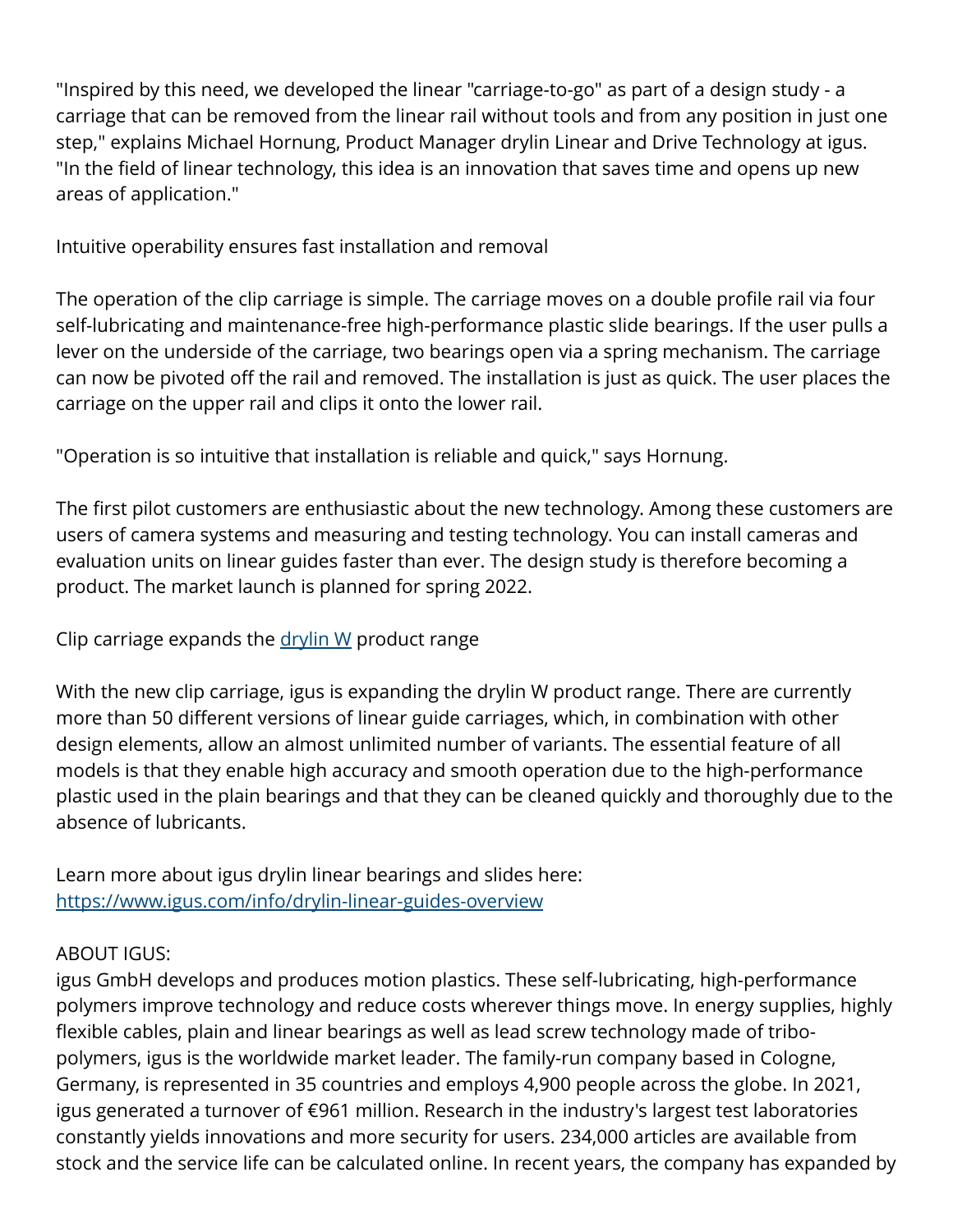"Inspired by this need, we developed the linear "carriage-to-go" as part of a design study - a carriage that can be removed from the linear rail without tools and from any position in just one step," explains Michael Hornung, Product Manager drylin Linear and Drive Technology at igus. "In the field of linear technology, this idea is an innovation that saves time and opens up new areas of application."

Intuitive operability ensures fast installation and removal

The operation of the clip carriage is simple. The carriage moves on a double profile rail via four self-lubricating and maintenance-free high-performance plastic slide bearings. If the user pulls a lever on the underside of the carriage, two bearings open via a spring mechanism. The carriage can now be pivoted off the rail and removed. The installation is just as quick. The user places the carriage on the upper rail and clips it onto the lower rail.

"Operation is so intuitive that installation is reliable and quick," says Hornung.

The first pilot customers are enthusiastic about the new technology. Among these customers are users of camera systems and measuring and testing technology. You can install cameras and evaluation units on linear guides faster than ever. The design study is therefore becoming a product. The market launch is planned for spring 2022.

Clip carriage expands the  $\frac{drylin}{W}$  product range

With the new clip carriage, igus is expanding the drylin W product range. There are currently more than 50 different versions of linear guide carriages, which, in combination with other design elements, allow an almost unlimited number of variants. The essential feature of all models is that they enable high accuracy and smooth operation due to the high-performance plastic used in the plain bearings and that they can be cleaned quickly and thoroughly due to the absence of lubricants.

Learn more about igus drylin linear bearings and slides here: <https://www.igus.com/info/drylin-linear-guides-overview>

## ABOUT IGUS:

igus GmbH develops and produces motion plastics. These self-lubricating, high-performance polymers improve technology and reduce costs wherever things move. In energy supplies, highly flexible cables, plain and linear bearings as well as lead screw technology made of tribopolymers, igus is the worldwide market leader. The family-run company based in Cologne, Germany, is represented in 35 countries and employs 4,900 people across the globe. In 2021, igus generated a turnover of €961 million. Research in the industry's largest test laboratories constantly yields innovations and more security for users. 234,000 articles are available from stock and the service life can be calculated online. In recent years, the company has expanded by